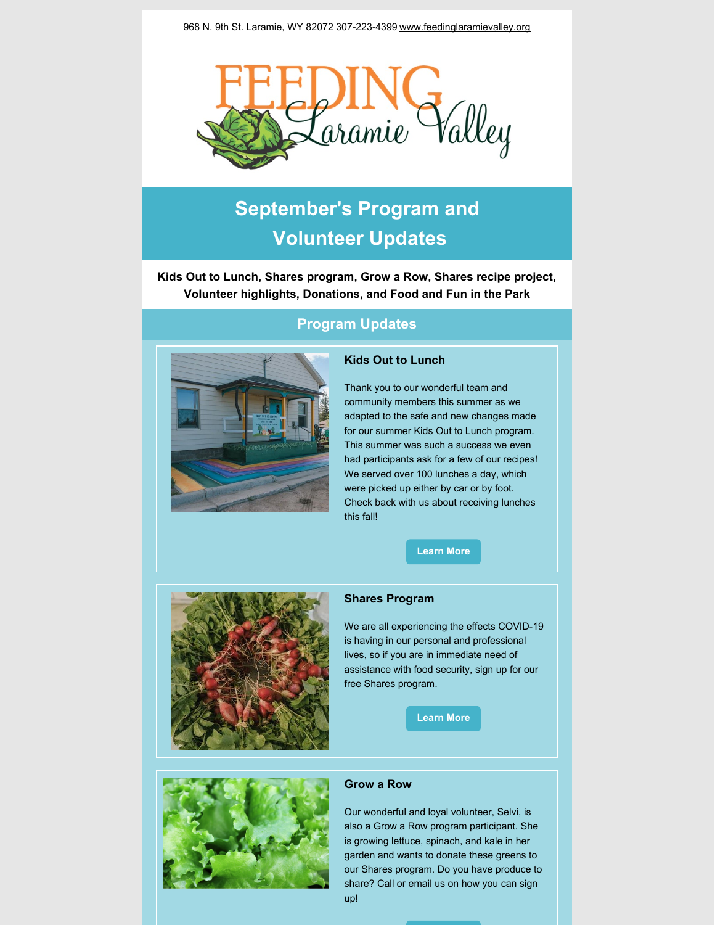968 N. 9th St. Laramie, WY 82072 307-223-4399 [www.feedinglaramievalley.org](http://www.feedinglaramievalley.org)



# **September's Program and Volunteer Updates**

**Kids Out to Lunch, Shares program, Grow a Row, Shares recipe project, Volunteer highlights, Donations, and Food and Fun in the Park**



# **Program Updates**

# **Kids Out to Lunch**

Thank you to our wonderful team and community members this summer as we adapted to the safe and new changes made for our summer Kids Out to Lunch program. This summer was such a success we even had participants ask for a few of our recipes! We served over 100 lunches a day, which were picked up either by car or by foot. Check back with us about receiving lunches this fall!

**[Learn](https://www.feedinglaramievalley.org/kids-out-to-lunch) More**



#### **Shares Program**

We are all experiencing the effects COVID-19 is having in our personal and professional lives, so if you are in immediate need of assistance with food security, sign up for our free Shares program.

**[Learn](https://www.feedinglaramievalley.org/flv-shares) More**



#### **Grow a Row**

Our wonderful and loyal volunteer, Selvi, is also a Grow a Row program participant. She is growing lettuce, spinach, and kale in her garden and wants to donate these greens to our Shares program. Do you have produce to share? Call or email us on how you can sign up!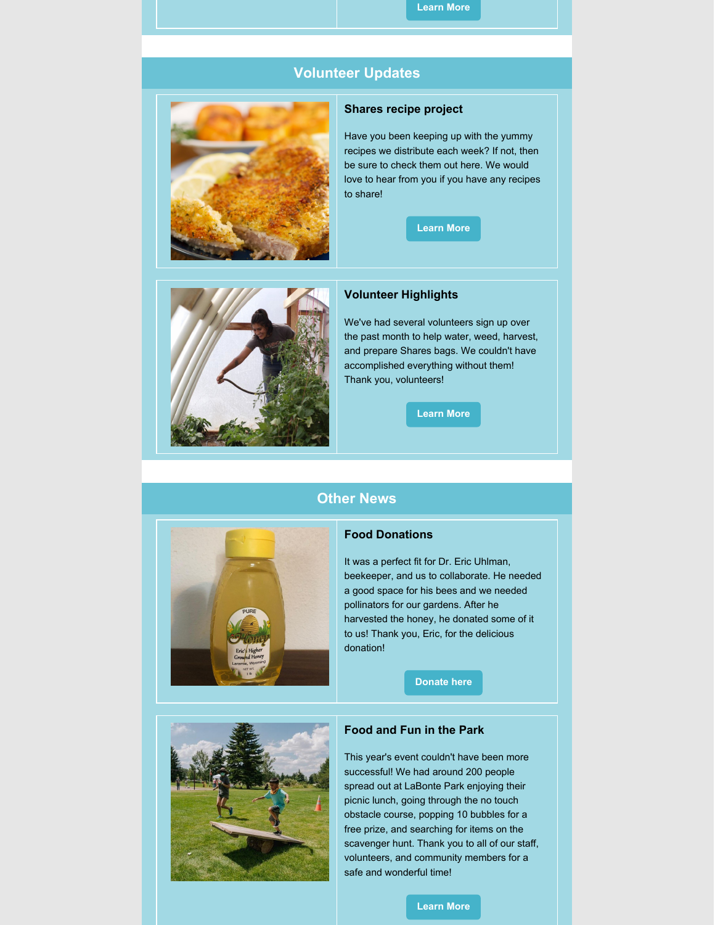#### **[Learn](https://www.feedinglaramievalley.org/growarow) More**

# **Volunteer Updates**



# **Shares recipe project**

Have you been keeping up with the yummy recipes we distribute each week? If not, then be sure to check them out here. We would love to hear from you if you have any recipes to share!





#### **Volunteer Highlights**

We've had several volunteers sign up over the past month to help water, weed, harvest, and prepare Shares bags. We couldn't have accomplished everything without them! Thank you, volunteers!

**[Learn](https://www.feedinglaramievalley.org/volunteer) More**

# **Other News**



#### **Food Donations**

It was a perfect fit for Dr. Eric Uhlman, beekeeper, and us to collaborate. He needed a good space for his bees and we needed pollinators for our gardens. After he harvested the honey, he donated some of it to us! Thank you, Eric, for the delicious donation!

**[Donate](https://www.feedinglaramievalley.org/fooddonations) here**



# **Food and Fun in the Park**

This year's event couldn't have been more successful! We had around 200 people spread out at LaBonte Park enjoying their picnic lunch, going through the no touch obstacle course, popping 10 bubbles for a free prize, and searching for items on the scavenger hunt. Thank you to all of our staff, volunteers, and community members for a safe and wonderful time!

#### **[Learn](https://www.feedinglaramievalley.org/food-fun-in-the-park) More**